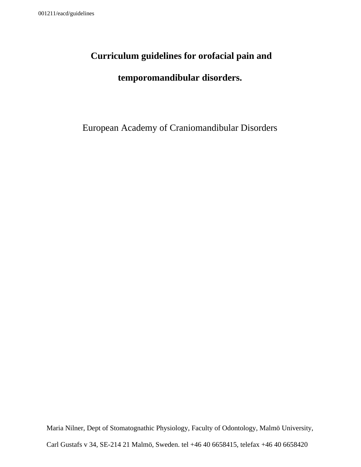# **Curriculum guidelines for orofacial pain and**

# **temporomandibular disorders.**

European Academy of Craniomandibular Disorders

Maria Nilner, Dept of Stomatognathic Physiology, Faculty of Odontology, Malmö University,

Carl Gustafs v 34, SE-214 21 Malmö, Sweden. tel +46 40 6658415, telefax +46 40 6658420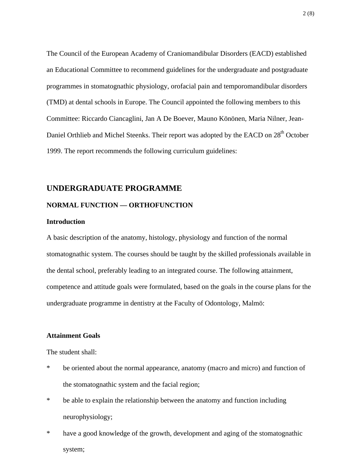The Council of the European Academy of Craniomandibular Disorders (EACD) established an Educational Committee to recommend guidelines for the undergraduate and postgraduate programmes in stomatognathic physiology, orofacial pain and temporomandibular disorders (TMD) at dental schools in Europe. The Council appointed the following members to this Committee: Riccardo Ciancaglini, Jan A De Boever, Mauno Könönen, Maria Nilner, Jean-Daniel Orthlieb and Michel Steenks. Their report was adopted by the EACD on 28<sup>th</sup> October 1999. The report recommends the following curriculum guidelines:

# **UNDERGRADUATE PROGRAMME**

## **NORMAL FUNCTION — ORTHOFUNCTION**

#### **Introduction**

A basic description of the anatomy, histology, physiology and function of the normal stomatognathic system. The courses should be taught by the skilled professionals available in the dental school, preferably leading to an integrated course. The following attainment, competence and attitude goals were formulated, based on the goals in the course plans for the undergraduate programme in dentistry at the Faculty of Odontology, Malmö:

#### **Attainment Goals**

The student shall:

- \* be oriented about the normal appearance, anatomy (macro and micro) and function of the stomatognathic system and the facial region;
- \* be able to explain the relationship between the anatomy and function including neurophysiology;
- \* have a good knowledge of the growth, development and aging of the stomatognathic system;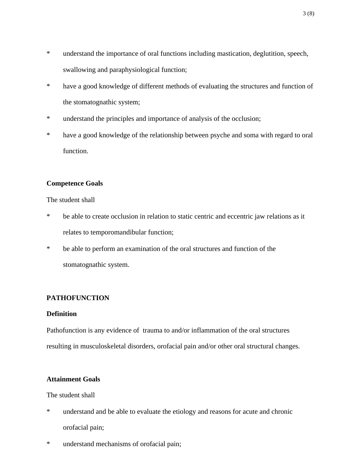- \* understand the importance of oral functions including mastication, deglutition, speech, swallowing and paraphysiological function;
- \* have a good knowledge of different methods of evaluating the structures and function of the stomatognathic system;
- \* understand the principles and importance of analysis of the occlusion;
- \* have a good knowledge of the relationship between psyche and soma with regard to oral function.

# **Competence Goals**

#### The student shall

- \* be able to create occlusion in relation to static centric and eccentric jaw relations as it relates to temporomandibular function;
- \* be able to perform an examination of the oral structures and function of the stomatognathic system.

# **PATHOFUNCTION**

#### **Definition**

Pathofunction is any evidence of trauma to and/or inflammation of the oral structures resulting in musculoskeletal disorders, orofacial pain and/or other oral structural changes.

# **Attainment Goals**

The student shall

- \* understand and be able to evaluate the etiology and reasons for acute and chronic orofacial pain;
- \* understand mechanisms of orofacial pain;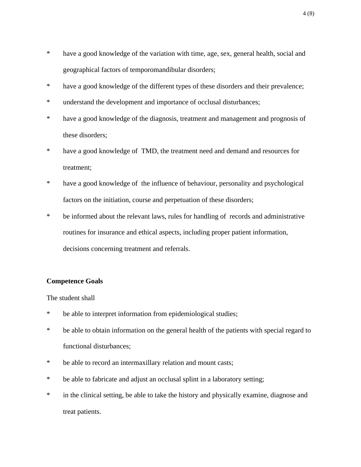- \* have a good knowledge of the variation with time, age, sex, general health, social and geographical factors of temporomandibular disorders;
- \* have a good knowledge of the different types of these disorders and their prevalence;
- \* understand the development and importance of occlusal disturbances;
- \* have a good knowledge of the diagnosis, treatment and management and prognosis of these disorders;
- \* have a good knowledge of TMD, the treatment need and demand and resources for treatment;
- \* have a good knowledge of the influence of behaviour, personality and psychological factors on the initiation, course and perpetuation of these disorders;
- \* be informed about the relevant laws, rules for handling of records and administrative routines for insurance and ethical aspects, including proper patient information, decisions concerning treatment and referrals.

## **Competence Goals**

The student shall

- \* be able to interpret information from epidemiological studies;
- \* be able to obtain information on the general health of the patients with special regard to functional disturbances;
- \* be able to record an intermaxillary relation and mount casts;
- \* be able to fabricate and adjust an occlusal splint in a laboratory setting;
- \* in the clinical setting, be able to take the history and physically examine, diagnose and treat patients.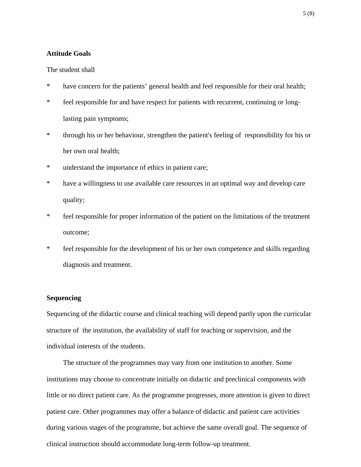### **Attitude Goals**

#### The student shall

- \* have concern for the patients' general health and feel responsible for their oral health;
- \* feel responsible for and have respect for patients with recurrent, continuing or longlasting pain symptoms;
- \* through his or her behaviour, strengthen the patient's feeling of responsibility for his or her own oral health;
- \* understand the importance of ethics in patient care;
- \* have a willingness to use available care resources in an optimal way and develop care quality;
- \* feel responsible for proper information of the patient on the limitations of the treatment outcome;
- \* feel responsible for the development of his or her own competence and skills regarding diagnosis and treatment.

## **Sequencing**

Sequencing of the didactic course and clinical teaching will depend partly upon the curricular structure of the institution, the availability of staff for teaching or supervision, and the individual interests of the students.

The structure of the programmes may vary from one institution to another. Some institutions may choose to concentrate initially on didactic and preclinical components with little or no direct patient care. As the programme progresses, more attention is given to direct patient care. Other programmes may offer a balance of didactic and patient care activities during various stages of the programme, but achieve the same overall goal. The sequence of clinical instruction should accommodate long-term follow-up treatment.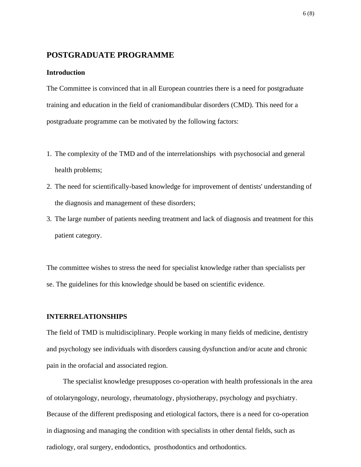# **POSTGRADUATE PROGRAMME**

## **Introduction**

The Committee is convinced that in all European countries there is a need for postgraduate training and education in the field of craniomandibular disorders (CMD). This need for a postgraduate programme can be motivated by the following factors:

- 1. The complexity of the TMD and of the interrelationships with psychosocial and general health problems;
- 2. The need for scientifically-based knowledge for improvement of dentists' understanding of the diagnosis and management of these disorders;
- 3. The large number of patients needing treatment and lack of diagnosis and treatment for this patient category.

The committee wishes to stress the need for specialist knowledge rather than specialists per se. The guidelines for this knowledge should be based on scientific evidence.

#### **INTERRELATIONSHIPS**

The field of TMD is multidisciplinary. People working in many fields of medicine, dentistry and psychology see individuals with disorders causing dysfunction and/or acute and chronic pain in the orofacial and associated region.

The specialist knowledge presupposes co-operation with health professionals in the area of otolaryngology, neurology, rheumatology, physiotherapy, psychology and psychiatry. Because of the different predisposing and etiological factors, there is a need for co-operation in diagnosing and managing the condition with specialists in other dental fields, such as radiology, oral surgery, endodontics, prosthodontics and orthodontics.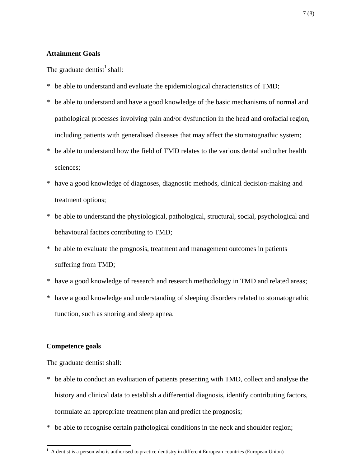# **Attainment Goals**

The graduate dentist $<sup>1</sup>$  shall:</sup>

- \* be able to understand and evaluate the epidemiological characteristics of TMD;
- \* be able to understand and have a good knowledge of the basic mechanisms of normal and pathological processes involving pain and/or dysfunction in the head and orofacial region, including patients with generalised diseases that may affect the stomatognathic system;
- \* be able to understand how the field of TMD relates to the various dental and other health sciences;
- \* have a good knowledge of diagnoses, diagnostic methods, clinical decision-making and treatment options;
- \* be able to understand the physiological, pathological, structural, social, psychological and behavioural factors contributing to TMD;
- \* be able to evaluate the prognosis, treatment and management outcomes in patients suffering from TMD;
- \* have a good knowledge of research and research methodology in TMD and related areas;
- \* have a good knowledge and understanding of sleeping disorders related to stomatognathic function, such as snoring and sleep apnea.

## **Competence goals**

The graduate dentist shall:

- \* be able to conduct an evaluation of patients presenting with TMD, collect and analyse the history and clinical data to establish a differential diagnosis, identify contributing factors, formulate an appropriate treatment plan and predict the prognosis;
- \* be able to recognise certain pathological conditions in the neck and shoulder region;

 1 A dentist is a person who is authorised to practice dentistry in different European countries (European Union)